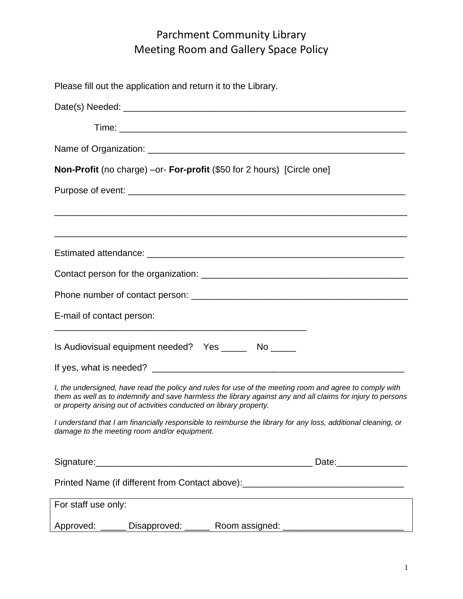# Parchment Community Library Meeting Room and Gallery Space Policy

| Please fill out the application and return it to the Library.                                                                                                                                                                                                                                  |
|------------------------------------------------------------------------------------------------------------------------------------------------------------------------------------------------------------------------------------------------------------------------------------------------|
|                                                                                                                                                                                                                                                                                                |
|                                                                                                                                                                                                                                                                                                |
|                                                                                                                                                                                                                                                                                                |
| <b>Non-Profit</b> (no charge) –or- <b>For-profit</b> (\$50 for 2 hours) [Circle one]                                                                                                                                                                                                           |
|                                                                                                                                                                                                                                                                                                |
|                                                                                                                                                                                                                                                                                                |
|                                                                                                                                                                                                                                                                                                |
|                                                                                                                                                                                                                                                                                                |
| E-mail of contact person:                                                                                                                                                                                                                                                                      |
| Is Audiovisual equipment needed? Yes _______ No _____                                                                                                                                                                                                                                          |
|                                                                                                                                                                                                                                                                                                |
| I, the undersigned, have read the policy and rules for use of the meeting room and agree to comply with<br>them as well as to indemnify and save harmless the library against any and all claims for injury to persons<br>or property arising out of activities conducted on library property. |
| I understand that I am financially responsible to reimburse the library for any loss, additional cleaning, or<br>damage to the meeting room and/or equipment.                                                                                                                                  |
|                                                                                                                                                                                                                                                                                                |
| Printed Name (if different from Contact above): ________________________________                                                                                                                                                                                                               |
| <u> 1989 - Johann Stoff, amerikansk politiker (d. 1989)</u><br>For staff use only:                                                                                                                                                                                                             |
| Approved: ______ Disapproved: ______ Room assigned: ____________________________                                                                                                                                                                                                               |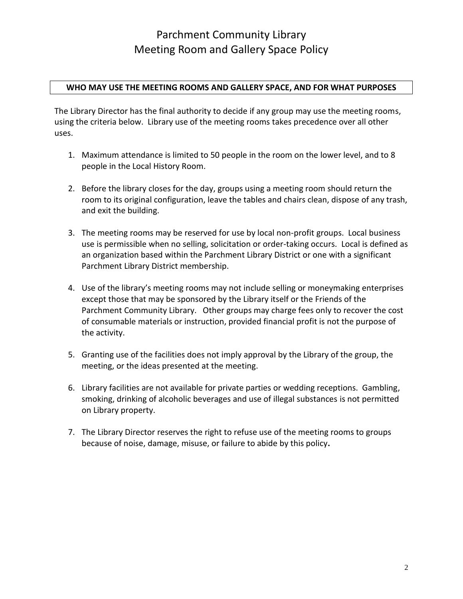## Parchment Community Library Meeting Room and Gallery Space Policy

### **WHO MAY USE THE MEETING ROOMS AND GALLERY SPACE, AND FOR WHAT PURPOSES**

The Library Director has the final authority to decide if any group may use the meeting rooms, using the criteria below. Library use of the meeting rooms takes precedence over all other uses.

- 1. Maximum attendance is limited to 50 people in the room on the lower level, and to 8 people in the Local History Room.
- 2. Before the library closes for the day, groups using a meeting room should return the room to its original configuration, leave the tables and chairs clean, dispose of any trash, and exit the building.
- 3. The meeting rooms may be reserved for use by local non-profit groups. Local business use is permissible when no selling, solicitation or order-taking occurs. Local is defined as an organization based within the Parchment Library District or one with a significant Parchment Library District membership.
- 4. Use of the library's meeting rooms may not include selling or moneymaking enterprises except those that may be sponsored by the Library itself or the Friends of the Parchment Community Library. Other groups may charge fees only to recover the cost of consumable materials or instruction, provided financial profit is not the purpose of the activity.
- 5. Granting use of the facilities does not imply approval by the Library of the group, the meeting, or the ideas presented at the meeting.
- 6. Library facilities are not available for private parties or wedding receptions. Gambling, smoking, drinking of alcoholic beverages and use of illegal substances is not permitted on Library property.
- 7. The Library Director reserves the right to refuse use of the meeting rooms to groups because of noise, damage, misuse, or failure to abide by this policy**.**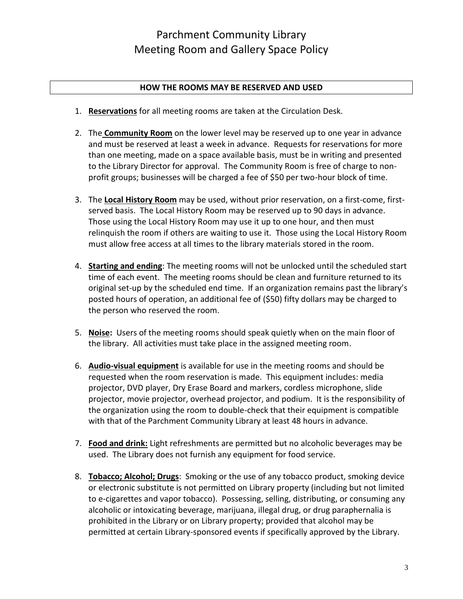### **HOW THE ROOMS MAY BE RESERVED AND USED**

- 1. **Reservations** for all meeting rooms are taken at the Circulation Desk.
- 2. The **Community Room** on the lower level may be reserved up to one year in advance and must be reserved at least a week in advance. Requests for reservations for more than one meeting, made on a space available basis, must be in writing and presented to the Library Director for approval. The Community Room is free of charge to nonprofit groups; businesses will be charged a fee of \$50 per two-hour block of time.
- 3. The **Local History Room** may be used, without prior reservation, on a first-come, firstserved basis. The Local History Room may be reserved up to 90 days in advance. Those using the Local History Room may use it up to one hour, and then must relinquish the room if others are waiting to use it. Those using the Local History Room must allow free access at all times to the library materials stored in the room.
- 4. **Starting and ending**: The meeting rooms will not be unlocked until the scheduled start time of each event. The meeting rooms should be clean and furniture returned to its original set-up by the scheduled end time. If an organization remains past the library's posted hours of operation, an additional fee of (\$50) fifty dollars may be charged to the person who reserved the room.
- 5. **Noise:** Users of the meeting rooms should speak quietly when on the main floor of the library. All activities must take place in the assigned meeting room.
- 6. **Audio-visual equipment** is available for use in the meeting rooms and should be requested when the room reservation is made. This equipment includes: media projector, DVD player, Dry Erase Board and markers, cordless microphone, slide projector, movie projector, overhead projector, and podium. It is the responsibility of the organization using the room to double-check that their equipment is compatible with that of the Parchment Community Library at least 48 hours in advance.
- 7. **Food and drink:** Light refreshments are permitted but no alcoholic beverages may be used. The Library does not furnish any equipment for food service.
- 8. **Tobacco; Alcohol; Drugs**: Smoking or the use of any tobacco product, smoking device or electronic substitute is not permitted on Library property (including but not limited to e-cigarettes and vapor tobacco). Possessing, selling, distributing, or consuming any alcoholic or intoxicating beverage, marijuana, illegal drug, or drug paraphernalia is prohibited in the Library or on Library property; provided that alcohol may be permitted at certain Library-sponsored events if specifically approved by the Library.